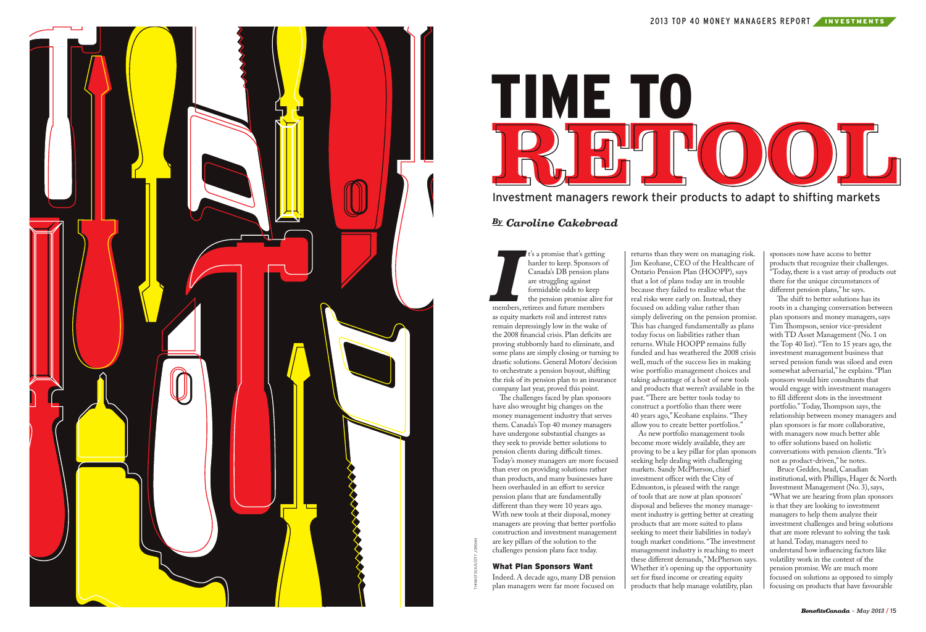THINKSTOCK/SCOTT JORDAN





**I**<sup>2</sup> s a promise that's getting<br>harder to keep. Sponsors of<br>Canada's DB pension plan<br>are struggling against<br>formidable odds to keep<br>the pension promise alive f<br>members, retirees and future members t's a promise that's getting harder to keep. Sponsors of Canada's DB pension plans are struggling against formidable odds to keep the pension promise alive for as equity markets roil and interest rates remain depressingly low in the wake of the 2008 financial crisis. Plan deficits are proving stubbornly hard to eliminate, and some plans are simply closing or turning to drastic solutions. General Motors' decision to orchestrate a pension buyout, shifting the risk of its pension plan to an insurance company last year, proved this point.

The challenges faced by plan sponsors have also wrought big changes on the money management industry that serves them. Canada's Top 40 money managers have undergone substantial changes as they seek to provide better solutions to pension clients during difficult times. Today's money managers are more focused than ever on providing solutions rather than products, and many businesses have been overhauled in an effort to service pension plans that are fundamentally different than they were 10 years ago. With new tools at their disposal, money managers are proving that better portfolio construction and investment management are key pillars of the solution to the challenges pension plans face today.

#### What Plan Sponsors Want

Indeed. A decade ago, many DB pension plan managers were far more focused on

The shift to better solutions has its roots in a changing conversation between plan sponsors and money managers, says Tim Thompson, senior vice-president with TD Asset Management (No. 1 on the Top 40 list). "Ten to 15 years ago, the investment management business that served pension funds was siloed and even somewhat adversarial," he explains. "Plan sponsors would hire consultants that would engage with investment managers to fill different slots in the investment portfolio." Today, Thompson says, the relationship between money managers and plan sponsors is far more collaborative, with managers now much better able to offer solutions based on holistic conversations with pension clients. "It's not as product-driven," he notes.

returns than they were on managing risk. Jim Keohane, CEO of the Healthcare of Ontario Pension Plan (HOOPP), says that a lot of plans today are in trouble because they failed to realize what the real risks were early on. Instead, they focused on adding value rather than simply delivering on the pension promise. This has changed fundamentally as plans today focus on liabilities rather than returns. While HOOPP remains fully funded and has weathered the 2008 crisis well, much of the success lies in making wise portfolio management choices and taking advantage of a host of new tools and products that weren't available in the past. "There are better tools today to construct a portfolio than there were 40 years ago," Keohane explains. "They allow you to create better portfolios." As new portfolio management tools become more widely available, they are proving to be a key pillar for plan sponsors seeking help dealing with challenging

markets. Sandy McPherson, chief investment officer with the City of Edmonton, is pleased with the range of tools that are now at plan sponsors' disposal and believes the money management industry is getting better at creating products that are more suited to plans seeking to meet their liabilities in today's tough market conditions. "The investment management industry is reaching to meet these different demands," McPherson says. Whether it's opening up the opportunity set for fixed income or creating equity products that help manage volatility, plan

sponsors now have access to better products that recognize their challenges. "Today, there is a vast array of products out there for the unique circumstances of different pension plans," he says.

Bruce Geddes, head, Canadian institutional, with Phillips, Hager & North Investment Management (No. 3), says, "What we are hearing from plan sponsors is that they are looking to investment managers to help them analyze their investment challenges and bring solutions that are more relevant to solving the task at hand. Today, managers need to understand how influencing factors like volatility work in the context of the pension promise. We are much more focused on solutions as opposed to simply focusing on products that have favourable

## *By Caroline Cakebread*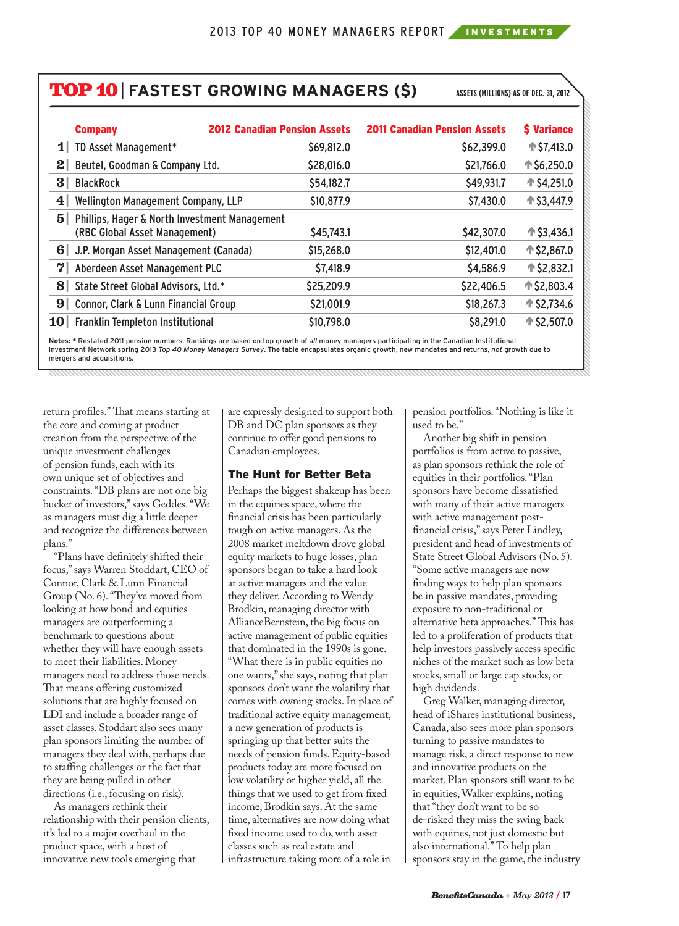# TOP 10| **FASTEST GROWING MANAGERS (\$) ASSETS (MILLIONS) AS OF DEC. 31, 2012**

| <b>Company</b>                                                                                   | <b>2012 Canadian Pension Assets</b> | <b>2011 Canadian Pension Assets</b> | \$ Variance        |
|--------------------------------------------------------------------------------------------------|-------------------------------------|-------------------------------------|--------------------|
| TD Asset Management*<br>11                                                                       | \$69,812.0                          | \$62,399.0                          | $↑$ \$7,413.0      |
| $\boldsymbol{2}$<br>Beutel, Goodman & Company Ltd.                                               | \$28,016.0                          | \$21,766.0                          | ↑ \$6,250.0        |
| $\bf{3}$<br><b>BlackRock</b>                                                                     | \$54,182.7                          | \$49,931.7                          | <b>↑ \$4,251.0</b> |
| $\boldsymbol{4}$<br>Wellington Management Company, LLP                                           | \$10,877.9                          | \$7,430.0                           | <b>↑ \$3,447.9</b> |
| $\overline{5}$<br>Phillips, Hager & North Investment Management<br>(RBC Global Asset Management) | \$45,743.1                          | \$42,307.0                          | ↑ \$3,436.1        |
| 6<br>J.P. Morgan Asset Management (Canada)                                                       | \$15,268.0                          | \$12,401.0                          | ↑ \$2,867.0        |
| 7<br>Aberdeen Asset Management PLC                                                               | \$7,418.9                           | \$4,586.9                           | ↑ \$2,832.1        |
| 8<br>State Street Global Advisors, Ltd.*                                                         | \$25,209.9                          | \$22,406.5                          | <b>↑ \$2,803.4</b> |
| 9<br>Connor, Clark & Lunn Financial Group                                                        | \$21,001.9                          | \$18,267.3                          | ↑ \$2,734.6        |
| 10 <sup>1</sup><br>Franklin Templeton Institutional                                              | \$10,798.0                          | \$8,291.0                           | <b>↑ \$2,507.0</b> |

Notes: \* Restated 2011 pension numbers. Rankings are based on top growth of *all* money managers participating in the Canadian Institutional<br>Investment Network spring 2013 *Top 40 Money Managers Survey*. The table encapsul mergers and acquisitions.

return profiles." That means starting at the core and coming at product creation from the perspective of the unique investment challenges of pension funds, each with its own unique set of objectives and constraints. "DB plans are not one big bucket of investors," says Geddes. "We as managers must dig a little deeper and recognize the differences between plans."

"Plans have definitely shifted their focus," says Warren Stoddart, CEO of Connor, Clark & Lunn Financial Group (No. 6). "They've moved from looking at how bond and equities managers are outperforming a benchmark to questions about whether they will have enough assets to meet their liabilities. Money managers need to address those needs. That means offering customized solutions that are highly focused on LDI and include a broader range of asset classes. Stoddart also sees many plan sponsors limiting the number of managers they deal with, perhaps due to staffing challenges or the fact that they are being pulled in other directions (i.e., focusing on risk).

As managers rethink their relationship with their pension clients, it's led to a major overhaul in the product space, with a host of innovative new tools emerging that

are expressly designed to support both DB and DC plan sponsors as they continue to offer good pensions to Canadian employees.

#### The Hunt for Better Beta

Perhaps the biggest shakeup has been in the equities space, where the financial crisis has been particularly tough on active managers. As the 2008 market meltdown drove global equity markets to huge losses, plan sponsors began to take a hard look at active managers and the value they deliver. According to Wendy Brodkin, managing director with AllianceBernstein, the big focus on active management of public equities that dominated in the 1990s is gone. "What there is in public equities no one wants," she says, noting that plan sponsors don't want the volatility that comes with owning stocks. In place of traditional active equity management, a new generation of products is springing up that better suits the needs of pension funds. Equity-based products today are more focused on low volatility or higher yield, all the things that we used to get from fixed income, Brodkin says. At the same time, alternatives are now doing what fixed income used to do, with asset classes such as real estate and infrastructure taking more of a role in

pension portfolios. "Nothing is like it used to be."

Another big shift in pension portfolios is from active to passive, as plan sponsors rethink the role of equities in their portfolios. "Plan sponsors have become dissatisfied with many of their active managers with active management postfinancial crisis," says Peter Lindley, president and head of investments of State Street Global Advisors (No. 5). "Some active managers are now finding ways to help plan sponsors be in passive mandates, providing exposure to non-traditional or alternative beta approaches." This has led to a proliferation of products that help investors passively access specific niches of the market such as low beta stocks, small or large cap stocks, or high dividends.

Greg Walker, managing director, head of iShares institutional business, Canada, also sees more plan sponsors turning to passive mandates to manage risk, a direct response to new and innovative products on the market. Plan sponsors still want to be in equities, Walker explains, noting that "they don't want to be so de-risked they miss the swing back with equities, not just domestic but also international." To help plan sponsors stay in the game, the industry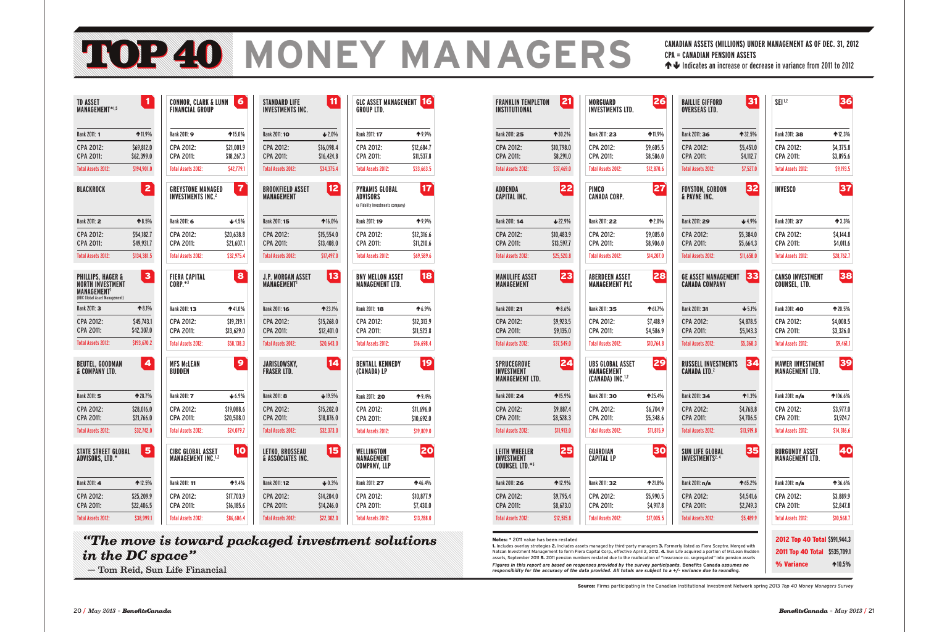**GLC ASSET MANAGEMENT** 16

Rank 2011: 17 199% CPA 2012: \$12,684.7 CPA 2011: \$11,537.8 Total Assets 2012: \$33,663.5

# **MOR40 MONEY MANAGERS**

**GROUP LTD.**

Rank 2011: 18  $\bullet$  6.9% CPA 2012: \$12,313.9 CPA 2011: \$11,523.8 Total Assets 2012: \$16,698.4

**BENTALL KENNEDY 19** 

**BNY MELLON ASSET** 18

**MANAGEMENT LTD.**

Rank 2011: 20 19.4% CPA 2012: \$11,696.0 CPA 2011: \$10,692.0 Total Assets 2012: \$19,809.0

Rank 2011: 27 **1**46.4% CPA 2012: \$10,877.9 CPA 2011: \$7,430.0 Total Assets 2012: \$13,288.0

| <b>FRANKLIN TEMPLETON</b><br>INSTITUTIONAL                        | 21              | <b>MORGUARD</b><br><b>INVESTMENTS LTD.</b>                            | 26         | <b>BAILLIE GIFFORD</b><br><b>OVERSEAS LTD.</b>           |
|-------------------------------------------------------------------|-----------------|-----------------------------------------------------------------------|------------|----------------------------------------------------------|
| Rank 2011: 25                                                     | ↑ 30.2%         | Rank 2011: 23                                                         | $*11.9%$   | Rank 2011: 36                                            |
| CPA 2012:                                                         | \$10,798.0      | CPA 2012:                                                             | \$9,605.5  | CPA 2012:                                                |
| <b>CPA 2011:</b>                                                  | \$8,291.0       | CPA 2011:                                                             | \$8,586.0  | CPA 2011:                                                |
| <b>Total Assets 2012:</b>                                         | \$37,469.0      | <b>Total Assets 2012:</b>                                             | \$12,870.6 | <b>Total Assets 2012:</b>                                |
| <b>ADDENDA</b><br><b>CAPITAL INC.</b>                             | 22              | <b>PIMCO</b><br><b>CANADA CORP.</b>                                   | 27         | <b>FOYSTON, GORDON</b><br>& PAYNE INC.                   |
| Rank 2011: 14                                                     | 22.9%           | Rank 2011: 22                                                         | ↑2.0%      | Rank 2011: 29                                            |
| <b>CPA 2012:</b>                                                  | \$10,483.9      | CPA 2012:                                                             | \$9,085.0  | CPA 2012:                                                |
| <b>CPA 2011:</b>                                                  | \$13,597.7      | CPA 2011:                                                             | \$8,906.0  | CPA 2011:                                                |
| <b>Total Assets 2012:</b>                                         | \$25,520.8      | <b>Total Assets 2012:</b>                                             | \$14,207.0 | <b>Total Assets 2012:</b>                                |
| <b>MANULIFE ASSET</b><br><b>MANAGEMENT</b>                        | 23              | <b>ABERDEEN ASSET</b><br><b>MANAGEMENT PLC</b>                        | 28         | <b>GE ASSET MANAGE</b><br><b>CANADA COMPANY</b>          |
| Rank 2011: 21                                                     | ↑8.6%           | Rank 2011: 35                                                         | ↑61.7%     | Rank 2011: 31                                            |
| CPA 2012:                                                         | \$9,923.5       | CPA 2012:                                                             | \$7.418.9  | CPA 2012:                                                |
| <b>CPA 2011:</b>                                                  | \$9,135.0       | CPA 2011:                                                             | \$4,586.9  | CPA 2011:                                                |
| <b>Total Assets 2012:</b>                                         | \$37,549.0      | <b>Total Assets 2012:</b>                                             | \$10,764.8 | <b>Total Assets 2012:</b>                                |
| <b>SPRUCEGROVE</b><br><b>INVESTMENT</b><br><b>MANAGEMENT LTD.</b> | $\overline{24}$ | UBS GLOBAL ASSET<br><b>MANAGEMENT</b><br>(CANADA) INC. <sup>1,2</sup> | 29         | <b>RUSSELL INVESTM</b><br><b>CANADA LTD.<sup>2</sup></b> |
| Rank 2011: 24                                                     | ↑15.9%          | Rank 2011: 30                                                         | $*25.4%$   | Rank 2011: 34                                            |
| CPA 2012:                                                         | \$9,887.4       | CPA 2012:                                                             | \$6,704.9  | CPA 2012:                                                |
| <b>CPA 2011:</b>                                                  | \$8,528.3       | CPA 2011:                                                             | \$5,348.6  | CPA 2011:                                                |
| <b>Total Assets 2012:</b>                                         | \$11,913.0      | <b>Total Assets 2012:</b>                                             | \$11,815.9 | <b>Total Assets 2012:</b>                                |
| <b>LEITH WHEELER</b><br>INVESIMENI<br><b>COUNSEL LTD.*5</b>       | 25              | GUARDIAN<br>CAPIIAL LP                                                | 30         | <b>SUN LIFE GLOBAL</b><br><b>INVESIMENIS</b> "           |
| Rank 2011: 26                                                     | ↑12.9%          | Rank 2011: 32                                                         | ↑21.8%     | Rank 2011: n/a                                           |
| CPA 2012:                                                         | \$9,795.4       | CPA 2012:                                                             | \$5,990.5  | CPA 2012:                                                |
| CPA 2011:                                                         | \$8,673.0       | CPA 2011:                                                             | \$4,917.8  | CPA 2011:                                                |
| <b>Total Assets 2012:</b>                                         | \$12,515.8      | <b>Total Assets 2012:</b>                                             | \$17,005.5 | <b>Total Assets 2012:</b>                                |

| <b>TD ASSET</b><br>MANAGEMENT*1,5                                                                             | 1              | <b>CONNOR, CLARK &amp; LUNN</b><br><b>FINANCIAL GROUP</b>       | 6                       | <b>STANDARD LIFE</b><br><b>INVESTMENTS INC.</b> | 11         |
|---------------------------------------------------------------------------------------------------------------|----------------|-----------------------------------------------------------------|-------------------------|-------------------------------------------------|------------|
| Rank 2011: 1                                                                                                  | $*11.9%$       | Rank 2011: <b>9</b>                                             | ↑15.0%                  | Rank 2011: 10                                   | $42.0\%$   |
| <b>CPA 2012:</b>                                                                                              | \$69,812.0     | CPA 2012:                                                       | \$21,001.9              | CPA 2012:                                       | \$16,098.4 |
| <b>CPA 2011:</b>                                                                                              | \$62,399.0     | CPA 2011:                                                       | \$18,267.3              | <b>CPA 2011:</b>                                | \$16,424.8 |
| <b>Total Assets 2012:</b>                                                                                     | \$194,901.0    | <b>Total Assets 2012:</b>                                       | \$42,779.1              | <b>Total Assets 2012:</b>                       | \$34,375.4 |
| <b>BLACKROCK</b>                                                                                              | $\overline{2}$ | <b>GREYSTONE MANAGED</b><br><b>INVESTMENTS INC.<sup>2</sup></b> | $\overline{\mathbf{r}}$ | <b>BROOKFIELD ASSET</b><br><b>MANAGEMENT</b>    | 12         |
| Rank 2011: 2                                                                                                  | $*8.5%$        | Rank 2011: 6                                                    | 4.5%                    | Rank 2011: 15                                   | ↑16.0%     |
| CPA 2012:                                                                                                     | \$54,182.7     | CPA 2012:                                                       | \$20,638.8              | CPA 2012:                                       | \$15,554.0 |
| CPA 2011:                                                                                                     | \$49,931.7     | CPA 2011:                                                       | \$21,607.1              | CPA 2011:                                       | \$13,408.0 |
| <b>Total Assets 2012:</b>                                                                                     | \$134,381.5    | <b>Total Assets 2012:</b>                                       | \$32,975.4              | <b>Total Assets 2012:</b>                       | \$17,497.0 |
| <b>PHILLIPS, HAGER &amp;</b><br><b>NORTH INVESTMENT</b><br><b>MANAGEMENT</b><br>(RBC Global Asset Management) | 3              | <b>FIERA CAPITAL</b><br>$CORP.*^3$                              | 8                       | <b>J.P. MORGAN ASSET</b><br><b>MANAGEMENT1</b>  | 13         |
| Rank 2011: 3                                                                                                  | $*8.1%$        | Rank 2011: 13                                                   | ↑41.0%                  | Rank 2011: 16                                   | ↑23.1%     |
| CPA 2012:                                                                                                     | \$45,743.1     | CPA 2012:                                                       | \$19,219.1              | CPA 2012:                                       | \$15,268.0 |
| CPA 2011:                                                                                                     | \$42,307.0     | CPA 2011:                                                       | \$13,629.0              | CPA 2011:                                       | \$12,401.0 |
| <b>Total Assets 2012:</b>                                                                                     | \$193,670.2    | <b>Total Assets 2012:</b>                                       | \$58,138.3              | <b>Total Assets 2012:</b>                       | \$20,643.0 |
| <b>BEUTEL, GOODMAN</b><br>& COMPANY LTD.                                                                      | 4              | <b>MFS McLEAN</b><br>BUDDEN                                     | 9                       | <b>JARISLOWSKY,</b><br><b>FRASER LTD.</b>       | 14         |
| Rank 2011: 5                                                                                                  | ↑ 28.7%        | Rank 2011: 7                                                    | $+ 6.9%$                | Rank 2011: 8                                    | 19.5%      |
| CPA 2012:                                                                                                     | \$28,016.0     | CPA 2012:                                                       | \$19,088.6              | CPA 2012:                                       | \$15,202.0 |
| CPA 2011:                                                                                                     | \$21,766.0     | CPA 2011:                                                       | \$20,508.0              | CPA 2011:                                       | \$18,876.0 |
| <b>Total Assets 2012:</b>                                                                                     | \$32,742.0     | <b>Total Assets 2012:</b>                                       | \$24,079.7              | <b>Total Assets 2012:</b>                       | \$32,373.0 |
| <b>STATE STREET GLOBAL</b><br>ADVISORS, LTD.*                                                                 | 5              | <b>CIBC GLOBAL ASSET</b><br><b>MANAGEMENT INC.1,2</b>           | 10                      | <b>LETKO, BROSSEAU</b><br>& ASSOCIATES INC.     | 15         |
| Rank 2011: 4                                                                                                  | 12.5%          | Rank 2011: 11                                                   | $*9.4%$                 | Rank 2011: 12                                   | $+0.3%$    |
| CPA 2012:                                                                                                     | \$25,209.9     | CPA 2012:                                                       | \$17,703.9              | CPA 2012:                                       | \$14,204.0 |
| CPA 2011:                                                                                                     | \$22,406.5     | CPA 2011:                                                       | \$16,185.6              | CPA 2011:                                       | \$14,246.0 |
| <b>Total Assets 2012:</b>                                                                                     | \$38,999.1     | <b>Total Assets 2012:</b>                                       | \$86,606.4              | <b>Total Assets 2012:</b>                       | \$22,302.0 |

**PYRAMIS GLOBAL** 17

Rank 2011: 19 19.9% CPA 2012: \$12,316.6 CPA 2011: \$11,210.6 Total Assets 2012: \$69,589.6

**ADVISORS**  (a Fidelity Investments company)

**STANDARD 11** 

**B** 

 $* 16.0\%$  $$15.554.0$ \$13,408.0 \$17,497.0

**L** 13

 $* 23.1%$  $$15,268.0$  $$12,401.0$ \$20,643.0

 $\overline{14}$ 

**LET** 



**(CANADA) LP**

**WELLINGTON** 20

**MANAGEMENT COMPANY, LLP** **CANADIAN ASSETS (MILLIONS) UNDER MANAGEMENT AS OF DEC. 31, 2012 CPA = CANADIAN PENSION ASSETS** Indicates an increase or decrease in variance from 2011 to 2012

Source: Firms participating in the Canadian Institutional Investment Network spring 2013 *Top 40 Money Managers Survey*

Notes: \* 2011 value has been restated

1. Includes overlay strategies 2. Includes assets managed by third-party managers 3. Formerly listed as Fiera Sceptre. Merged with Natcan Investment Management to form Fiera Capital Corp., effective April 2, 2012. 4. Sun Life acquired a portion of McLean Budden assets, September 2011 5. 2011 pension numbers restated due to the reallocation of "insurance co. segregated" into pension assets *Figures in this report are based on responses provided by the survey participants.* **Benefits Canada** *assumes no responsibility for the accuracy of the data provided. All totals are subject to a +/- variance due to rounding.*

# *"The move is toward packaged investment solutions in the DC space"*

— Tom Reid, Sun Life Financial